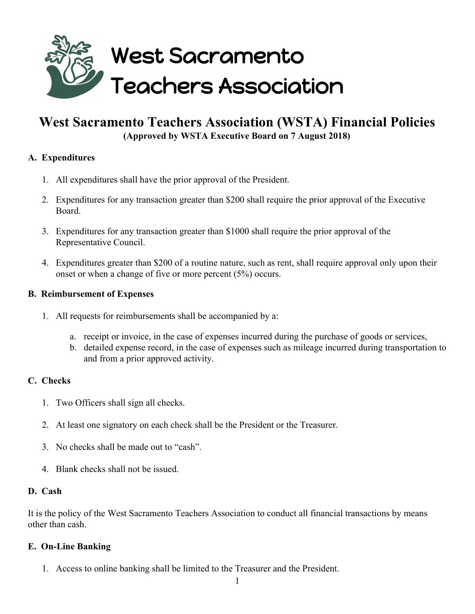

# **West Sacramento Teachers Association (WSTA) Financial Policies (Approved by WSTA Executive Board on 7 August 2018)**

# **A. Expenditures**

- 1. All expenditures shall have the prior approval of the President.
- 2. Expenditures for any transaction greater than \$200 shall require the prior approval of the Executive Board.
- 3. Expenditures for any transaction greater than \$1000 shall require the prior approval of the Representative Council.
- 4. Expenditures greater than \$200 of a routine nature, such as rent, shall require approval only upon their onset or when a change of five or more percent (5%) occurs.

## **B. Reimbursement of Expenses**

- 1. All requests for reimbursements shall be accompanied by a:
	- a. receipt or invoice, in the case of expenses incurred during the purchase of goods or services,
	- b. detailed expense record, in the case of expenses such as mileage incurred during transportation to and from a prior approved activity.

#### **C. Checks**

- 1. Two Officers shall sign all checks.
- 2. At least one signatory on each check shall be the President or the Treasurer.
- 3. No checks shall be made out to "cash".
- 4. Blank checks shall not be issued.

#### **D. Cash**

It is the policy of the West Sacramento Teachers Association to conduct all financial transactions by means other than cash.

#### **E. On-Line Banking**

1. Access to online banking shall be limited to the Treasurer and the President.